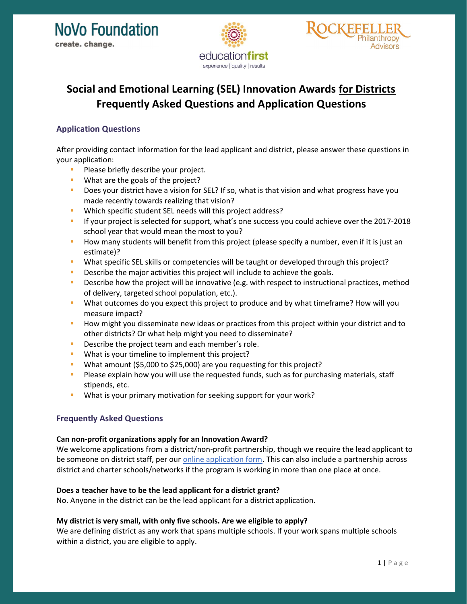



# Social and Emotional Learning (SEL) Innovation Awards for Districts Frequently Asked Questions and Application Questions

## Application Questions

After providing contact information for the lead applicant and district, please answer these questions in your application:

- **Please briefly describe your project.**
- **What are the goals of the project?**
- Does your district have a vision for SEL? If so, what is that vision and what progress have you made recently towards realizing that vision?
- Which specific student SEL needs will this project address?
- **If your project is selected for support, what's one success you could achieve over the 2017-2018** school year that would mean the most to you?
- How many students will benefit from this project (please specify a number, even if it is just an estimate)?
- What specific SEL skills or competencies will be taught or developed through this project?
- **Describe the major activities this project will include to achieve the goals.**
- **Describe how the project will be innovative (e.g. with respect to instructional practices, method** of delivery, targeted school population, etc.).
- What outcomes do you expect this project to produce and by what timeframe? How will you measure impact?
- How might you disseminate new ideas or practices from this project within your district and to other districts? Or what help might you need to disseminate?
- **Describe the project team and each member's role.**
- What is your timeline to implement this project?
- What amount (\$5,000 to \$25,000) are you requesting for this project?
- **Please explain how you will use the requested funds, such as for purchasing materials, staff** stipends, etc.
- What is your primary motivation for seeking support for your work?

# Frequently Asked Questions

#### Can non-profit organizations apply for an Innovation Award?

We welcome applications from a district/non-profit partnership, though we require the lead applicant to be someone on district staff, per our *online application form*. This can also include a partnership across district and charter schools/networks if the program is working in more than one place at once.

## Does a teacher have to be the lead applicant for a district grant?

No. Anyone in the district can be the lead applicant for a district application.

## My district is very small, with only five schools. Are we eligible to apply?

We are defining district as any work that spans multiple schools. If your work spans multiple schools within a district, you are eligible to apply.